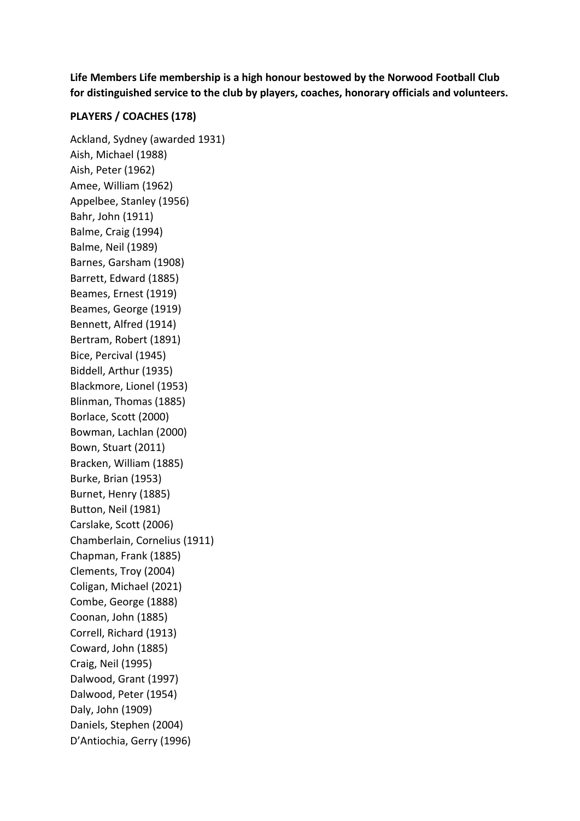**Life Members Life membership is a high honour bestowed by the Norwood Football Club for distinguished service to the club by players, coaches, honorary officials and volunteers.** 

## **PLAYERS / COACHES (178)**

Ackland, Sydney (awarded 1931) Aish, Michael (1988) Aish, Peter (1962) Amee, William (1962) Appelbee, Stanley (1956) Bahr, John (1911) Balme, Craig (1994) Balme, Neil (1989) Barnes, Garsham (1908) Barrett, Edward (1885) Beames, Ernest (1919) Beames, George (1919) Bennett, Alfred (1914) Bertram, Robert (1891) Bice, Percival (1945) Biddell, Arthur (1935) Blackmore, Lionel (1953) Blinman, Thomas (1885) Borlace, Scott (2000) Bowman, Lachlan (2000) Bown, Stuart (2011) Bracken, William (1885) Burke, Brian (1953) Burnet, Henry (1885) Button, Neil (1981) Carslake, Scott (2006) Chamberlain, Cornelius (1911) Chapman, Frank (1885) Clements, Troy (2004) Coligan, Michael (2021) Combe, George (1888) Coonan, John (1885) Correll, Richard (1913) Coward, John (1885) Craig, Neil (1995) Dalwood, Grant (1997) Dalwood, Peter (1954) Daly, John (1909) Daniels, Stephen (2004) D'Antiochia, Gerry (1996)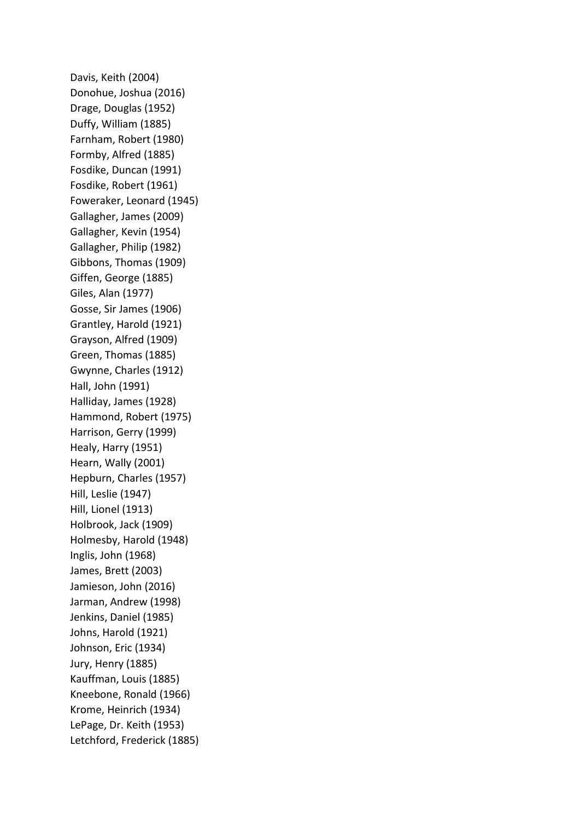Davis, Keith (2004) Donohue, Joshua (2016) Drage, Douglas (1952) Duffy, William (1885) Farnham, Robert (1980) Formby, Alfred (1885) Fosdike, Duncan (1991) Fosdike, Robert (1961) Foweraker, Leonard (1945) Gallagher, James (2009) Gallagher, Kevin (1954) Gallagher, Philip (1982) Gibbons, Thomas (1909) Giffen, George (1885) Giles, Alan (1977) Gosse, Sir James (1906) Grantley, Harold (1921) Grayson, Alfred (1909) Green, Thomas (1885) Gwynne, Charles (1912) Hall, John (1991) Halliday, James (1928) Hammond, Robert (1975) Harrison, Gerry (1999) Healy, Harry (1951) Hearn, Wally (2001) Hepburn, Charles (1957) Hill, Leslie (1947) Hill, Lionel (1913) Holbrook, Jack (1909) Holmesby, Harold (1948) Inglis, John (1968) James, Brett (2003) Jamieson, John (2016) Jarman, Andrew (1998) Jenkins, Daniel (1985) Johns, Harold (1921) Johnson, Eric (1934) Jury, Henry (1885) Kauffman, Louis (1885) Kneebone, Ronald (1966) Krome, Heinrich (1934) LePage, Dr. Keith (1953) Letchford, Frederick (1885)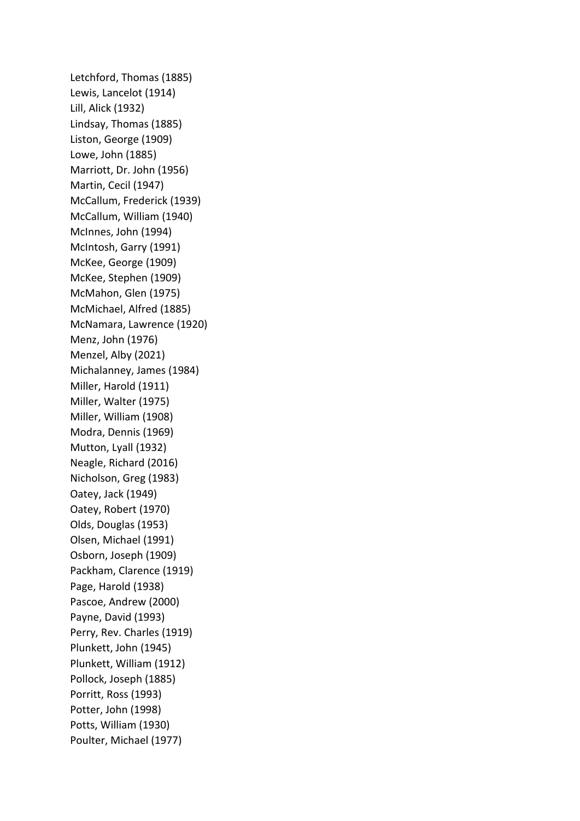Letchford, Thomas (1885) Lewis, Lancelot (1914) Lill, Alick (1932) Lindsay, Thomas (1885) Liston, George (1909) Lowe, John (1885) Marriott, Dr. John (1956) Martin, Cecil (1947) McCallum, Frederick (1939) McCallum, William (1940) McInnes, John (1994) McIntosh, Garry (1991) McKee, George (1909) McKee, Stephen (1909) McMahon, Glen (1975) McMichael, Alfred (1885) McNamara, Lawrence (1920) Menz, John (1976) Menzel, Alby (2021) Michalanney, James (1984) Miller, Harold (1911) Miller, Walter (1975) Miller, William (1908) Modra, Dennis (1969) Mutton, Lyall (1932) Neagle, Richard (2016) Nicholson, Greg (1983) Oatey, Jack (1949) Oatey, Robert (1970) Olds, Douglas (1953) Olsen, Michael (1991) Osborn, Joseph (1909) Packham, Clarence (1919) Page, Harold (1938) Pascoe, Andrew (2000) Payne, David (1993) Perry, Rev. Charles (1919) Plunkett, John (1945) Plunkett, William (1912) Pollock, Joseph (1885) Porritt, Ross (1993) Potter, John (1998) Potts, William (1930) Poulter, Michael (1977)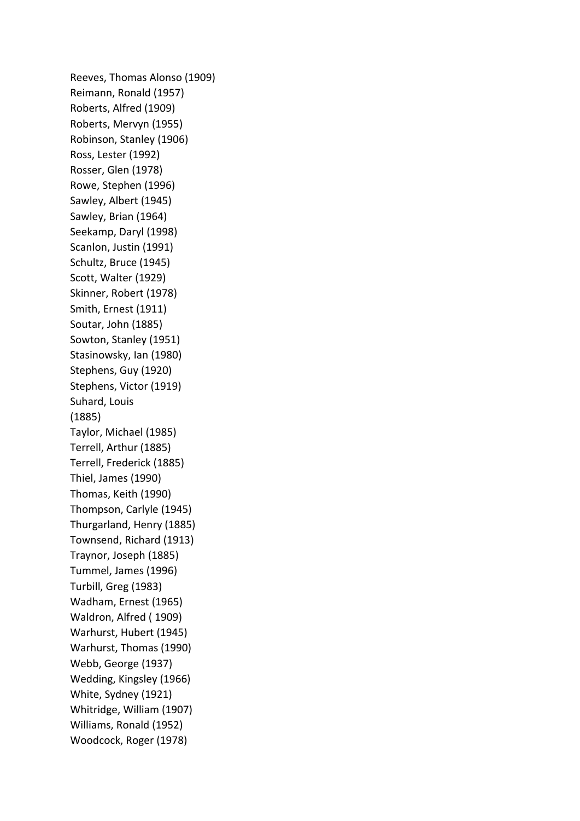Reeves, Thomas Alonso (1909) Reimann, Ronald (1957) Roberts, Alfred (1909) Roberts, Mervyn (1955) Robinson, Stanley (1906) Ross, Lester (1992) Rosser, Glen (1978) Rowe, Stephen (1996) Sawley, Albert (1945) Sawley, Brian (1964) Seekamp, Daryl (1998) Scanlon, Justin (1991) Schultz, Bruce (1945) Scott, Walter (1929) Skinner, Robert (1978) Smith, Ernest (1911) Soutar, John (1885) Sowton, Stanley (1951) Stasinowsky, Ian (1980) Stephens, Guy (1920) Stephens, Victor (1919) Suhard, Louis (1885) Taylor, Michael (1985) Terrell, Arthur (1885) Terrell, Frederick (1885) Thiel, James (1990) Thomas, Keith (1990) Thompson, Carlyle (1945) Thurgarland, Henry (1885) Townsend, Richard (1913) Traynor, Joseph (1885) Tummel, James (1996) Turbill, Greg (1983) Wadham, Ernest (1965) Waldron, Alfred ( 1909) Warhurst, Hubert (1945) Warhurst, Thomas (1990) Webb, George (1937) Wedding, Kingsley (1966) White, Sydney (1921) Whitridge, William (1907) Williams, Ronald (1952) Woodcock, Roger (1978)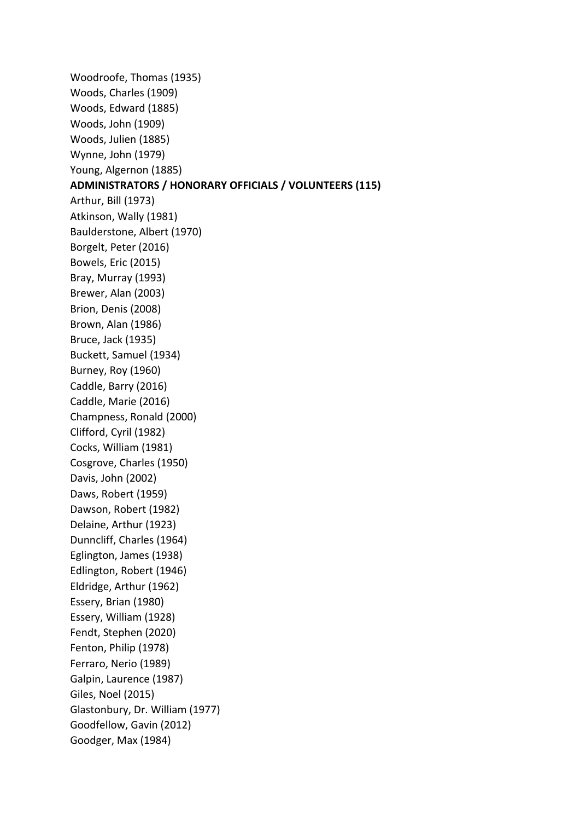Woodroofe, Thomas (1935) Woods, Charles (1909) Woods, Edward (1885) Woods, John (1909) Woods, Julien (1885) Wynne, John (1979) Young, Algernon (1885) **ADMINISTRATORS / HONORARY OFFICIALS / VOLUNTEERS (115)**  Arthur, Bill (1973) Atkinson, Wally (1981) Baulderstone, Albert (1970) Borgelt, Peter (2016) Bowels, Eric (2015) Bray, Murray (1993) Brewer, Alan (2003) Brion, Denis (2008) Brown, Alan (1986) Bruce, Jack (1935) Buckett, Samuel (1934) Burney, Roy (1960) Caddle, Barry (2016) Caddle, Marie (2016) Champness, Ronald (2000) Clifford, Cyril (1982) Cocks, William (1981) Cosgrove, Charles (1950) Davis, John (2002) Daws, Robert (1959) Dawson, Robert (1982) Delaine, Arthur (1923) Dunncliff, Charles (1964) Eglington, James (1938) Edlington, Robert (1946) Eldridge, Arthur (1962) Essery, Brian (1980) Essery, William (1928) Fendt, Stephen (2020) Fenton, Philip (1978) Ferraro, Nerio (1989) Galpin, Laurence (1987) Giles, Noel (2015) Glastonbury, Dr. William (1977) Goodfellow, Gavin (2012) Goodger, Max (1984)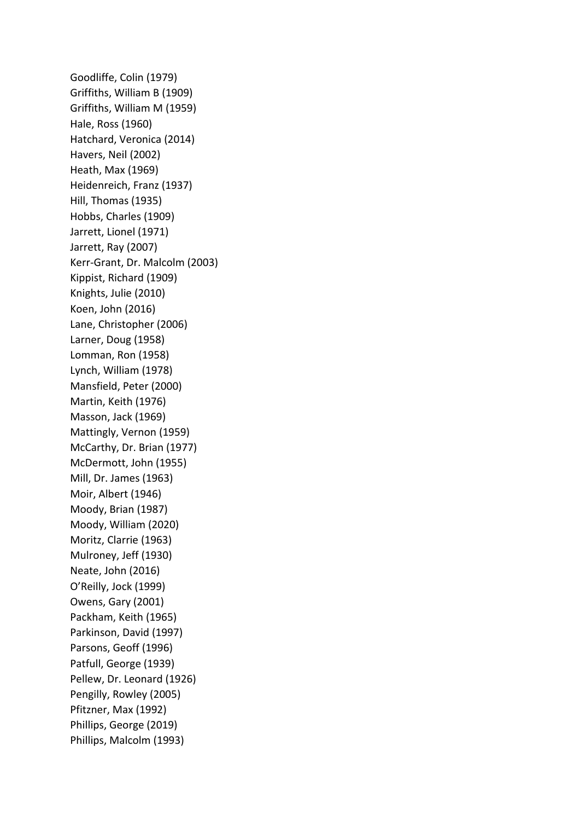Goodliffe, Colin (1979) Griffiths, William B (1909) Griffiths, William M (1959) Hale, Ross (1960) Hatchard, Veronica (2014) Havers, Neil (2002) Heath, Max (1969) Heidenreich, Franz (1937) Hill, Thomas (1935) Hobbs, Charles (1909) Jarrett, Lionel (1971) Jarrett, Ray (2007) Kerr-Grant, Dr. Malcolm (2003) Kippist, Richard (1909) Knights, Julie (2010) Koen, John (2016) Lane, Christopher (2006) Larner, Doug (1958) Lomman, Ron (1958) Lynch, William (1978) Mansfield, Peter (2000) Martin, Keith (1976) Masson, Jack (1969) Mattingly, Vernon (1959) McCarthy, Dr. Brian (1977) McDermott, John (1955) Mill, Dr. James (1963) Moir, Albert (1946) Moody, Brian (1987) Moody, William (2020) Moritz, Clarrie (1963) Mulroney, Jeff (1930) Neate, John (2016) O'Reilly, Jock (1999) Owens, Gary (2001) Packham, Keith (1965) Parkinson, David (1997) Parsons, Geoff (1996) Patfull, George (1939) Pellew, Dr. Leonard (1926) Pengilly, Rowley (2005) Pfitzner, Max (1992) Phillips, George (2019) Phillips, Malcolm (1993)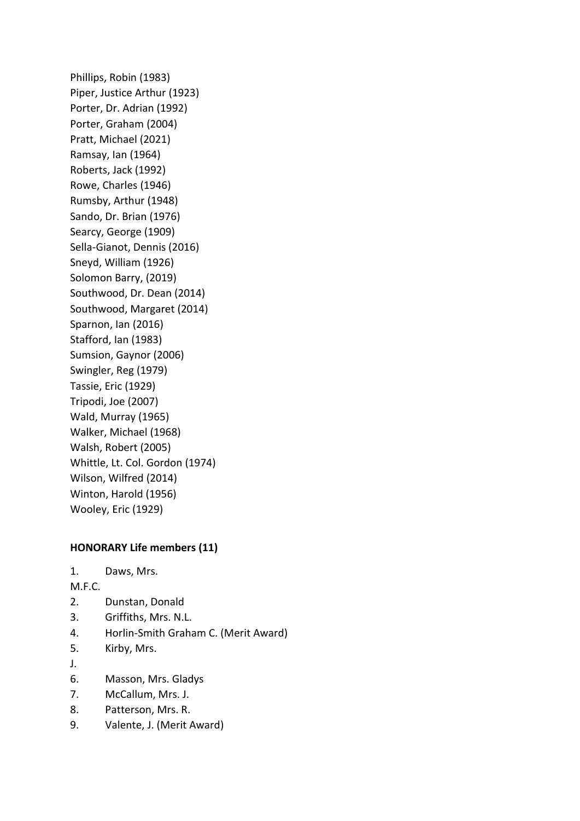Phillips, Robin (1983) Piper, Justice Arthur (1923) Porter, Dr. Adrian (1992) Porter, Graham (2004) Pratt, Michael (2021) Ramsay, Ian (1964) Roberts, Jack (1992) Rowe, Charles (1946) Rumsby, Arthur (1948) Sando, Dr. Brian (1976) Searcy, George (1909) Sella-Gianot, Dennis (2016) Sneyd, William (1926) Solomon Barry, (2019) Southwood, Dr. Dean (2014) Southwood, Margaret (2014) Sparnon, Ian (2016) Stafford, Ian (1983) Sumsion, Gaynor (2006) Swingler, Reg (1979) Tassie, Eric (1929) Tripodi, Joe (2007) Wald, Murray (1965) Walker, Michael (1968) Walsh, Robert (2005) Whittle, Lt. Col. Gordon (1974) Wilson, Wilfred (2014) Winton, Harold (1956) Wooley, Eric (1929)

## **HONORARY Life members (11)**

1. Daws, Mrs.

M.F.C.

- 2. Dunstan, Donald
- 3. Griffiths, Mrs. N.L.
- 4. Horlin-Smith Graham C. (Merit Award)
- 5. Kirby, Mrs.
- J.
- 6. Masson, Mrs. Gladys
- 7. McCallum, Mrs. J.
- 8. Patterson, Mrs. R.
- 9. Valente, J. (Merit Award)